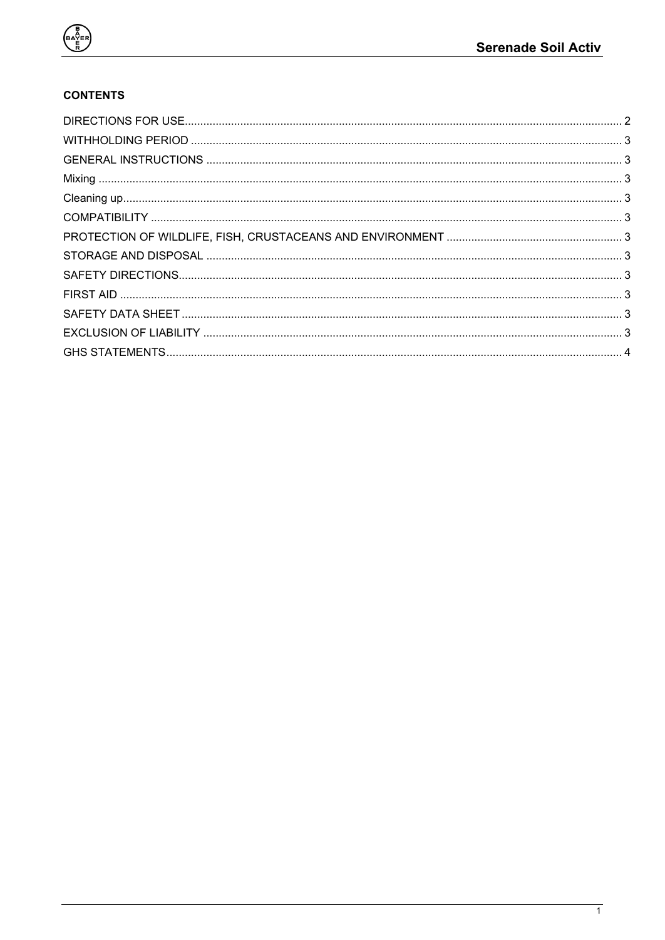

## **CONTENTS**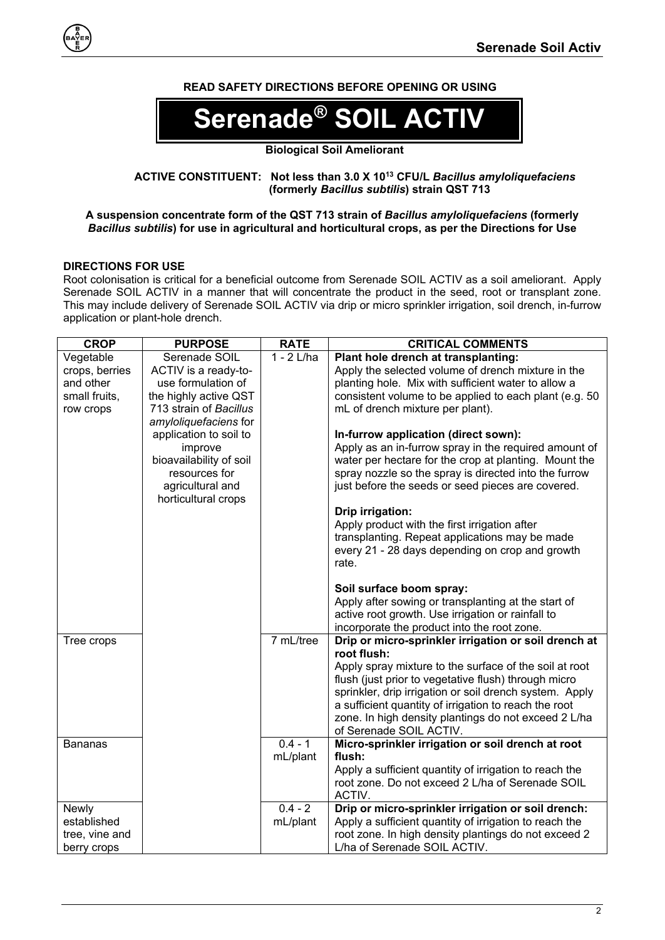## **READ SAFETY DIRECTIONS BEFORE OPENING OR USING**



### **ACTIVE CONSTITUENT: Not less than 3.0 X 1013 CFU/L** *Bacillus amyloliquefaciens* **(formerly** *Bacillus subtilis***) strain QST 713**

#### **A suspension concentrate form of the QST 713 strain of** *Bacillus amyloliquefaciens* **(formerly**  *Bacillus subtilis***) for use in agricultural and horticultural crops, as per the Directions for Use**

### <span id="page-1-0"></span>**DIRECTIONS FOR USE**

Root colonisation is critical for a beneficial outcome from Serenade SOIL ACTIV as a soil ameliorant. Apply Serenade SOIL ACTIV in a manner that will concentrate the product in the seed, root or transplant zone. This may include delivery of Serenade SOIL ACTIV via drip or micro sprinkler irrigation, soil drench, in-furrow application or plant-hole drench.

| <b>CROP</b>    | <b>PURPOSE</b>                                                                                                                                    | <b>RATE</b>  | <b>CRITICAL COMMENTS</b>                                                                                                                                                                                                                                                                 |
|----------------|---------------------------------------------------------------------------------------------------------------------------------------------------|--------------|------------------------------------------------------------------------------------------------------------------------------------------------------------------------------------------------------------------------------------------------------------------------------------------|
| Vegetable      | Serenade SOIL                                                                                                                                     | $1 - 2$ L/ha | Plant hole drench at transplanting:                                                                                                                                                                                                                                                      |
| crops, berries | ACTIV is a ready-to-                                                                                                                              |              | Apply the selected volume of drench mixture in the                                                                                                                                                                                                                                       |
| and other      | use formulation of                                                                                                                                |              | planting hole. Mix with sufficient water to allow a                                                                                                                                                                                                                                      |
| small fruits,  | the highly active QST                                                                                                                             |              | consistent volume to be applied to each plant (e.g. 50)                                                                                                                                                                                                                                  |
| row crops      | 713 strain of Bacillus                                                                                                                            |              | mL of drench mixture per plant).                                                                                                                                                                                                                                                         |
|                | amyloliquefaciens for<br>application to soil to<br>improve<br>bioavailability of soil<br>resources for<br>agricultural and<br>horticultural crops |              | In-furrow application (direct sown):<br>Apply as an in-furrow spray in the required amount of<br>water per hectare for the crop at planting. Mount the<br>spray nozzle so the spray is directed into the furrow<br>just before the seeds or seed pieces are covered.<br>Drip irrigation: |
|                |                                                                                                                                                   |              | Apply product with the first irrigation after<br>transplanting. Repeat applications may be made<br>every 21 - 28 days depending on crop and growth<br>rate.                                                                                                                              |
|                |                                                                                                                                                   |              | Soil surface boom spray:                                                                                                                                                                                                                                                                 |
|                |                                                                                                                                                   |              | Apply after sowing or transplanting at the start of                                                                                                                                                                                                                                      |
|                |                                                                                                                                                   |              | active root growth. Use irrigation or rainfall to                                                                                                                                                                                                                                        |
|                |                                                                                                                                                   |              | incorporate the product into the root zone.                                                                                                                                                                                                                                              |
| Tree crops     |                                                                                                                                                   | 7 mL/tree    | Drip or micro-sprinkler irrigation or soil drench at<br>root flush:                                                                                                                                                                                                                      |
|                |                                                                                                                                                   |              | Apply spray mixture to the surface of the soil at root                                                                                                                                                                                                                                   |
|                |                                                                                                                                                   |              | flush (just prior to vegetative flush) through micro                                                                                                                                                                                                                                     |
|                |                                                                                                                                                   |              | sprinkler, drip irrigation or soil drench system. Apply                                                                                                                                                                                                                                  |
|                |                                                                                                                                                   |              | a sufficient quantity of irrigation to reach the root                                                                                                                                                                                                                                    |
|                |                                                                                                                                                   |              | zone. In high density plantings do not exceed 2 L/ha<br>of Serenade SOIL ACTIV.                                                                                                                                                                                                          |
| <b>Bananas</b> |                                                                                                                                                   | $0.4 - 1$    | Micro-sprinkler irrigation or soil drench at root                                                                                                                                                                                                                                        |
|                |                                                                                                                                                   | mL/plant     | flush:                                                                                                                                                                                                                                                                                   |
|                |                                                                                                                                                   |              | Apply a sufficient quantity of irrigation to reach the<br>root zone. Do not exceed 2 L/ha of Serenade SOIL<br>ACTIV.                                                                                                                                                                     |
| Newly          |                                                                                                                                                   | $0.4 - 2$    | Drip or micro-sprinkler irrigation or soil drench:                                                                                                                                                                                                                                       |
| established    |                                                                                                                                                   | mL/plant     | Apply a sufficient quantity of irrigation to reach the                                                                                                                                                                                                                                   |
| tree, vine and |                                                                                                                                                   |              | root zone. In high density plantings do not exceed 2                                                                                                                                                                                                                                     |
| berry crops    |                                                                                                                                                   |              | L/ha of Serenade SOIL ACTIV.                                                                                                                                                                                                                                                             |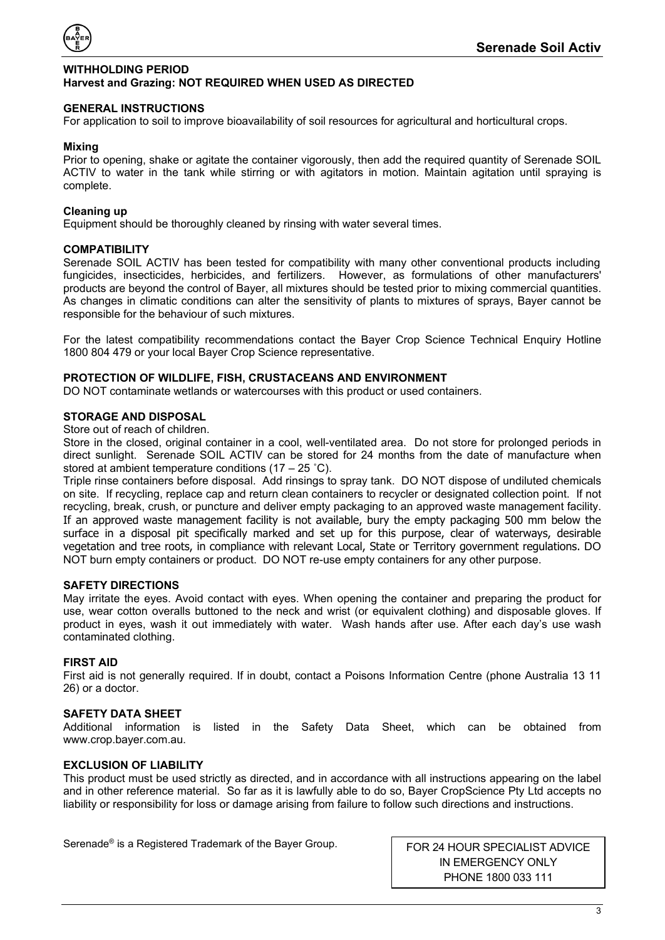

#### <span id="page-2-0"></span>**WITHHOLDING PERIOD Harvest and Grazing: NOT REQUIRED WHEN USED AS DIRECTED**

#### <span id="page-2-1"></span>**GENERAL INSTRUCTIONS**

For application to soil to improve bioavailability of soil resources for agricultural and horticultural crops.

### <span id="page-2-2"></span>**Mixing**

Prior to opening, shake or agitate the container vigorously, then add the required quantity of Serenade SOIL ACTIV to water in the tank while stirring or with agitators in motion. Maintain agitation until spraying is complete.

#### <span id="page-2-3"></span>**Cleaning up**

Equipment should be thoroughly cleaned by rinsing with water several times.

#### <span id="page-2-4"></span>**COMPATIBILITY**

Serenade SOIL ACTIV has been tested for compatibility with many other conventional products including fungicides, insecticides, herbicides, and fertilizers. However, as formulations of other manufacturers' products are beyond the control of Bayer, all mixtures should be tested prior to mixing commercial quantities. As changes in climatic conditions can alter the sensitivity of plants to mixtures of sprays, Bayer cannot be responsible for the behaviour of such mixtures.

For the latest compatibility recommendations contact the Bayer Crop Science Technical Enquiry Hotline 1800 804 479 or your local Bayer Crop Science representative.

#### <span id="page-2-5"></span>**PROTECTION OF WILDLIFE, FISH, CRUSTACEANS AND ENVIRONMENT**

DO NOT contaminate wetlands or watercourses with this product or used containers.

#### <span id="page-2-6"></span>**STORAGE AND DISPOSAL**

Store out of reach of children.

Store in the closed, original container in a cool, well-ventilated area. Do not store for prolonged periods in direct sunlight. Serenade SOIL ACTIV can be stored for 24 months from the date of manufacture when stored at ambient temperature conditions (17 – 25 ˚C).

Triple rinse containers before disposal. Add rinsings to spray tank. DO NOT dispose of undiluted chemicals on site. If recycling, replace cap and return clean containers to recycler or designated collection point. If not recycling, break, crush, or puncture and deliver empty packaging to an approved waste management facility. If an approved waste management facility is not available, bury the empty packaging 500 mm below the surface in a disposal pit specifically marked and set up for this purpose, clear of waterways, desirable vegetation and tree roots, in compliance with relevant Local, State or Territory government regulations. DO NOT burn empty containers or product. DO NOT re-use empty containers for any other purpose.

#### <span id="page-2-7"></span>**SAFETY DIRECTIONS**

May irritate the eyes. Avoid contact with eyes. When opening the container and preparing the product for use, wear cotton overalls buttoned to the neck and wrist (or equivalent clothing) and disposable gloves. If product in eyes, wash it out immediately with water. Wash hands after use. After each day's use wash contaminated clothing.

### <span id="page-2-8"></span>**FIRST AID**

First aid is not generally required. If in doubt, contact a Poisons Information Centre (phone Australia 13 11 26) or a doctor.

<span id="page-2-9"></span>**SAFETY DATA SHEET** the Safety Data Sheet, which can be obtained from www.crop.bayer.com.au.

### <span id="page-2-10"></span>**EXCLUSION OF LIABILITY**

This product must be used strictly as directed, and in accordance with all instructions appearing on the label and in other reference material. So far as it is lawfully able to do so, Bayer CropScience Pty Ltd accepts no liability or responsibility for loss or damage arising from failure to follow such directions and instructions.

Serenade<sup>®</sup> is a Registered Trademark of the Bayer Group. FOR 24 HOUR SPECIALIST ADVICE